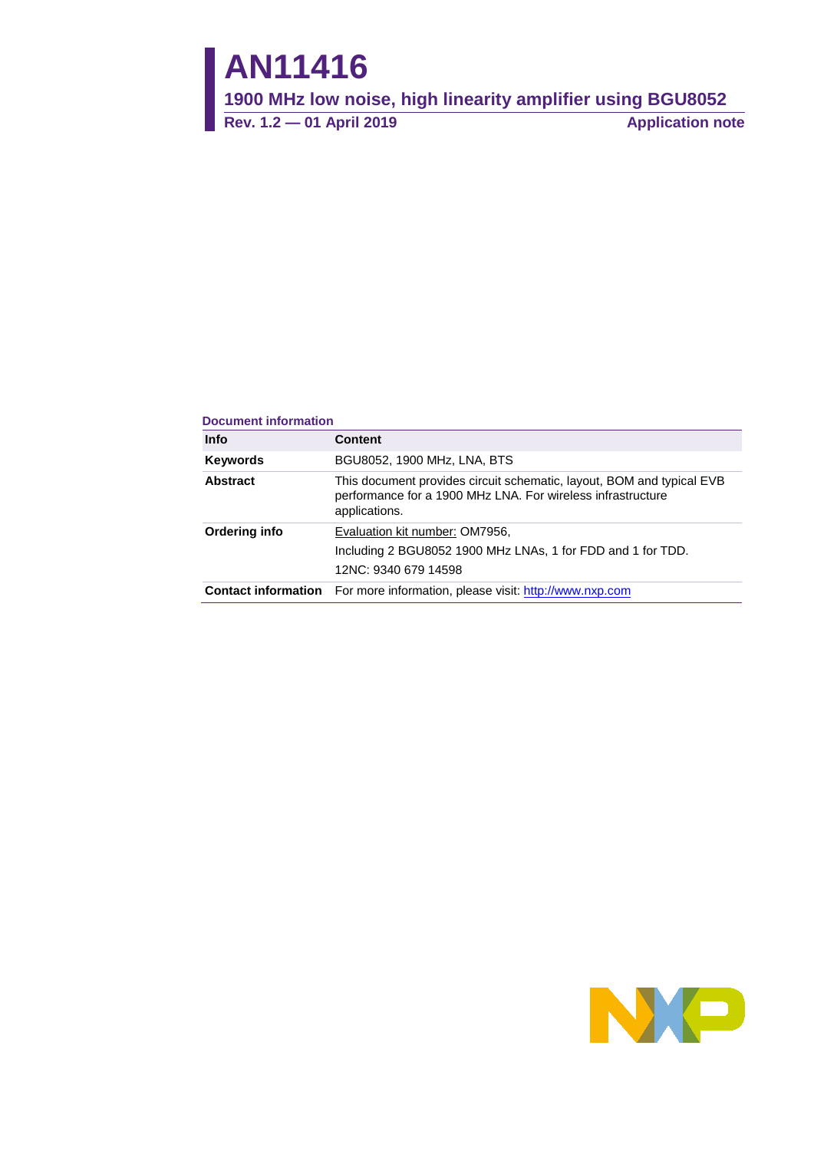# **AN11416**

**1900 MHz low noise, high linearity amplifier using BGU8052**

**Rev. 1.2 — 01 April 2019 Application note**

#### **Document information**

| <b>Info</b>     | <b>Content</b>                                                                                                                                        |
|-----------------|-------------------------------------------------------------------------------------------------------------------------------------------------------|
| <b>Keywords</b> | BGU8052, 1900 MHz, LNA, BTS                                                                                                                           |
| Abstract        | This document provides circuit schematic, layout, BOM and typical EVB<br>performance for a 1900 MHz LNA. For wireless infrastructure<br>applications. |
| Ordering info   | Evaluation kit number: OM7956,<br>Including 2 BGU8052 1900 MHz LNAs, 1 for FDD and 1 for TDD.<br>12NC: 9340 679 14598                                 |
|                 | <b>Contact information</b> For more information, please visit: http://www.nxp.com                                                                     |

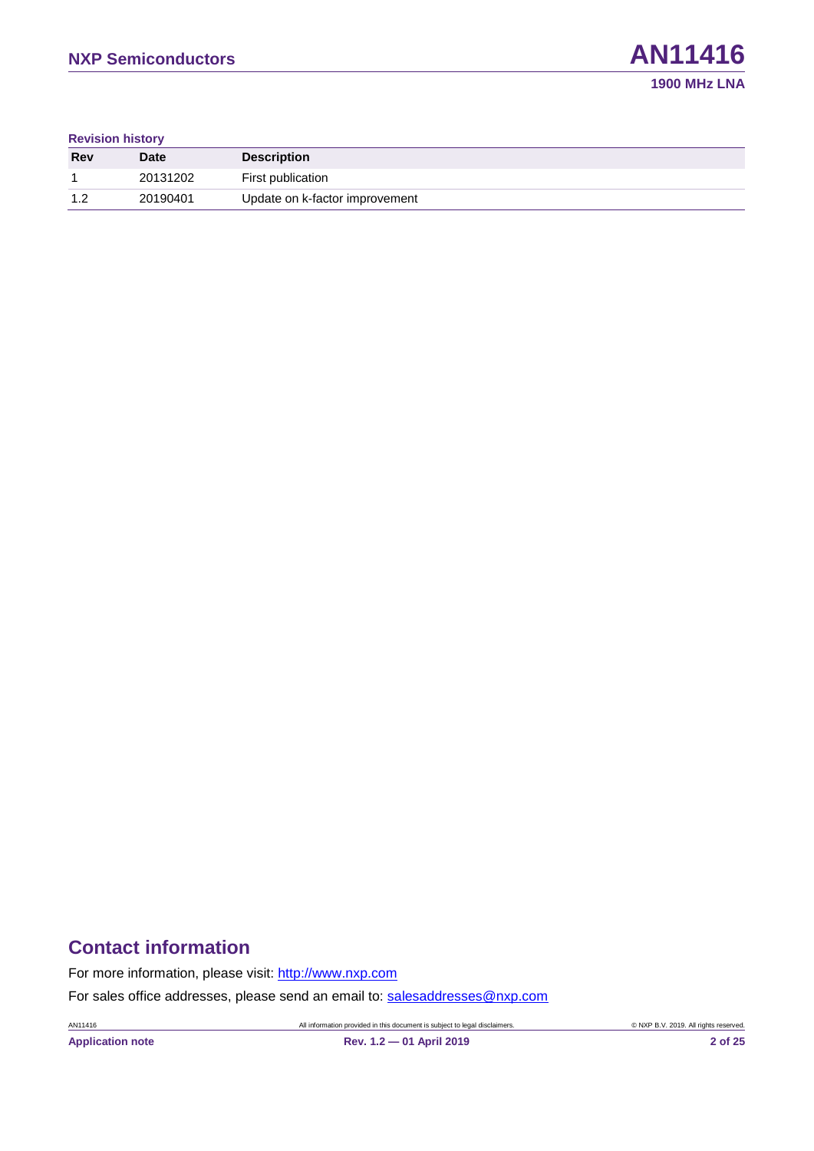#### **Revision history**

| Rev | <b>Date</b> | <b>Description</b>             |
|-----|-------------|--------------------------------|
|     | 20131202    | First publication              |
| 1 ລ | 20190401    | Update on k-factor improvement |

### **Contact information**

For more information, please visit: [http://www.nxp.com](http://www.nxp.com/)

For sales office addresses, please send an email to: [salesaddresses@nxp.com](mailto:salesaddresses@nxp.com)

AN11416 All information provided in this document is subject to legal disclaimers. © NXP B.V. 2019. All rights reserved.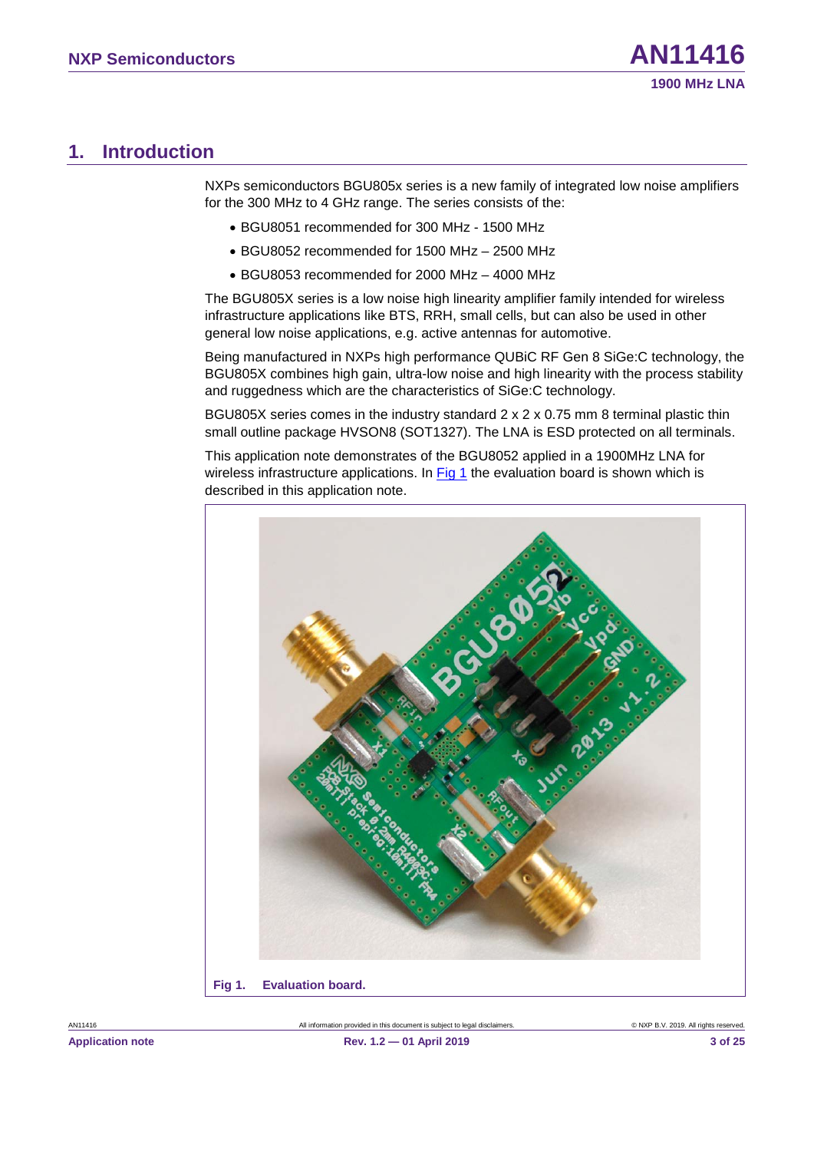### <span id="page-2-2"></span>**1. Introduction**

NXPs semiconductors BGU805x series is a new family of integrated low noise amplifiers for the 300 MHz to 4 GHz range. The series consists of the:

- BGU8051 recommended for 300 MHz 1500 MHz
- BGU8052 recommended for 1500 MHz 2500 MHz
- BGU8053 recommended for 2000 MHz 4000 MHz

The BGU805X series is a low noise high linearity amplifier family intended for wireless infrastructure applications like BTS, RRH, small cells, but can also be used in other general low noise applications, e.g. active antennas for automotive.

Being manufactured in NXPs high performance QUBiC RF Gen 8 SiGe:C technology, the BGU805X combines high gain, ultra-low noise and high linearity with the process stability and ruggedness which are the characteristics of SiGe:C technology.

BGU805X series comes in the industry standard 2 x 2 x 0.75 mm 8 terminal plastic thin small outline package HVSON8 (SOT1327). The LNA is ESD protected on all terminals.

This application note demonstrates of the BGU8052 applied in a 1900MHz LNA for wireless infrastructure applications. In [Fig 1](#page-2-0) the evaluation board is shown which is described in this application note.

<span id="page-2-1"></span><span id="page-2-0"></span>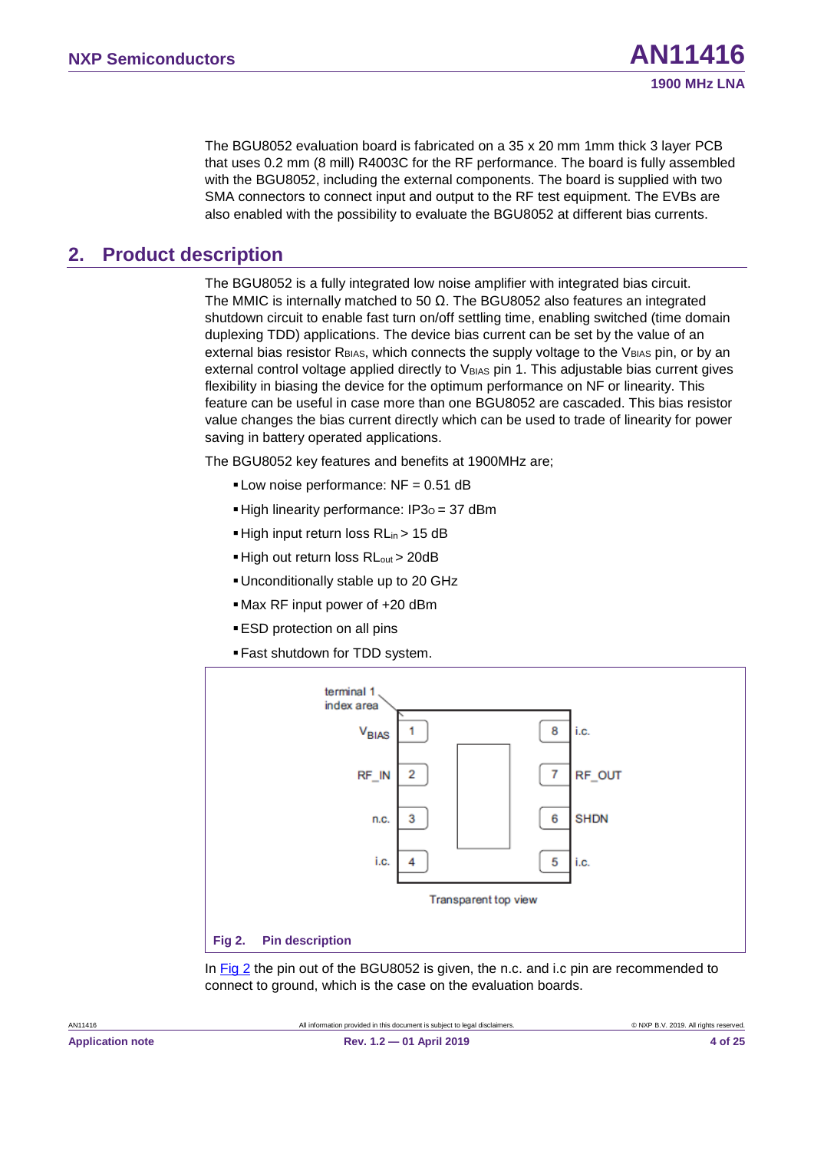The BGU8052 evaluation board is fabricated on a 35 x 20 mm 1mm thick 3 layer PCB that uses 0.2 mm (8 mill) R4003C for the RF performance. The board is fully assembled with the BGU8052, including the external components. The board is supplied with two SMA connectors to connect input and output to the RF test equipment. The EVBs are also enabled with the possibility to evaluate the BGU8052 at different bias currents.

### <span id="page-3-2"></span>**2. Product description**

The BGU8052 is a fully integrated low noise amplifier with integrated bias circuit. The MMIC is internally matched to 50  $\Omega$ . The BGU8052 also features an integrated shutdown circuit to enable fast turn on/off settling time, enabling switched (time domain duplexing TDD) applications. The device bias current can be set by the value of an external bias resistor  $R_{BIAS}$ , which connects the supply voltage to the  $V_{BIAS}$  pin, or by an external control voltage applied directly to V<sub>BIAS</sub> pin 1. This adjustable bias current gives flexibility in biasing the device for the optimum performance on NF or linearity. This feature can be useful in case more than one BGU8052 are cascaded. This bias resistor value changes the bias current directly which can be used to trade of linearity for power saving in battery operated applications.

The BGU8052 key features and benefits at 1900MHz are;

- $\blacksquare$  Low noise performance: NF = 0.51 dB
- **High linearity performance: IP3<sub>0</sub> = 37 dBm**
- High input return loss RL<sub>in</sub> > 15 dB
- High out return loss RL<sub>out</sub> > 20dB
- Unconditionally stable up to 20 GHz
- Max RF input power of +20 dBm
- **ESD** protection on all pins
- Fast shutdown for TDD system.



<span id="page-3-1"></span><span id="page-3-0"></span>In [Fig 2](#page-3-0) the pin out of the BGU8052 is given, the n.c. and i.c pin are recommended to connect to ground, which is the case on the evaluation boards.

**1900 MHz LNA**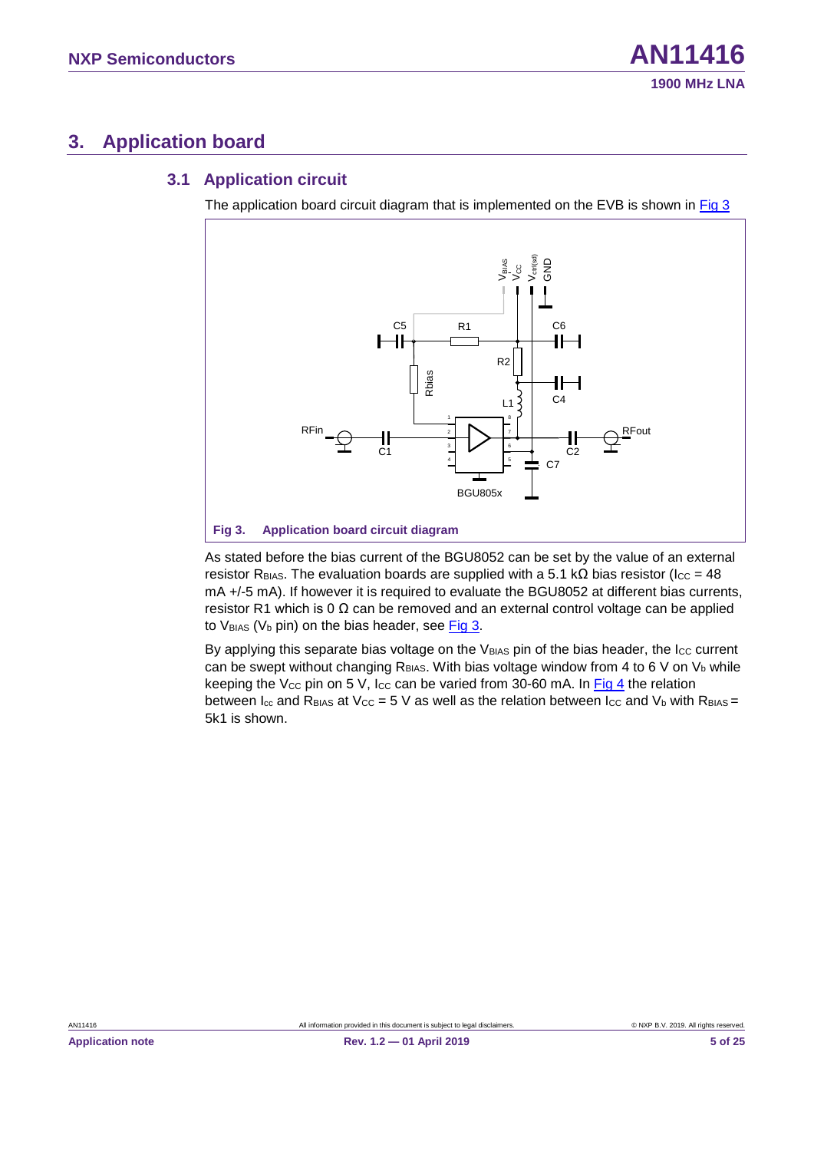### <span id="page-4-2"></span>**3. Application board**

#### <span id="page-4-3"></span>**3.1 Application circuit**

The application board circuit diagram that is implemented on the EVB is shown in  $Fig 3$ 



<span id="page-4-1"></span><span id="page-4-0"></span>As stated before the bias current of the BGU8052 can be set by the value of an external resistor R<sub>BIAS</sub>. The evaluation boards are supplied with a 5.1 kΩ bias resistor (I<sub>CC</sub> = 48 mA +/-5 mA). If however it is required to evaluate the BGU8052 at different bias currents, resistor R1 which is 0  $\Omega$  can be removed and an external control voltage can be applied to  $V_{BIAS}$  ( $V_b$  pin) on the bias header, see [Fig 3.](#page-4-0)

By applying this separate bias voltage on the VBIAS pin of the bias header, the Icc current can be swept without changing  $R_{BAS}$ . With bias voltage window from 4 to 6 V on  $V<sub>b</sub>$  while keeping the Vcc pin on 5 V, Icc can be varied from 30-60 mA. In  $Fig 4$  the relation between  $I_{\rm cc}$  and R<sub>BIAS</sub> at V<sub>CC</sub> = 5 V as well as the relation between I<sub>CC</sub> and V<sub>b</sub> with R<sub>BIAS</sub> = 5k1 is shown.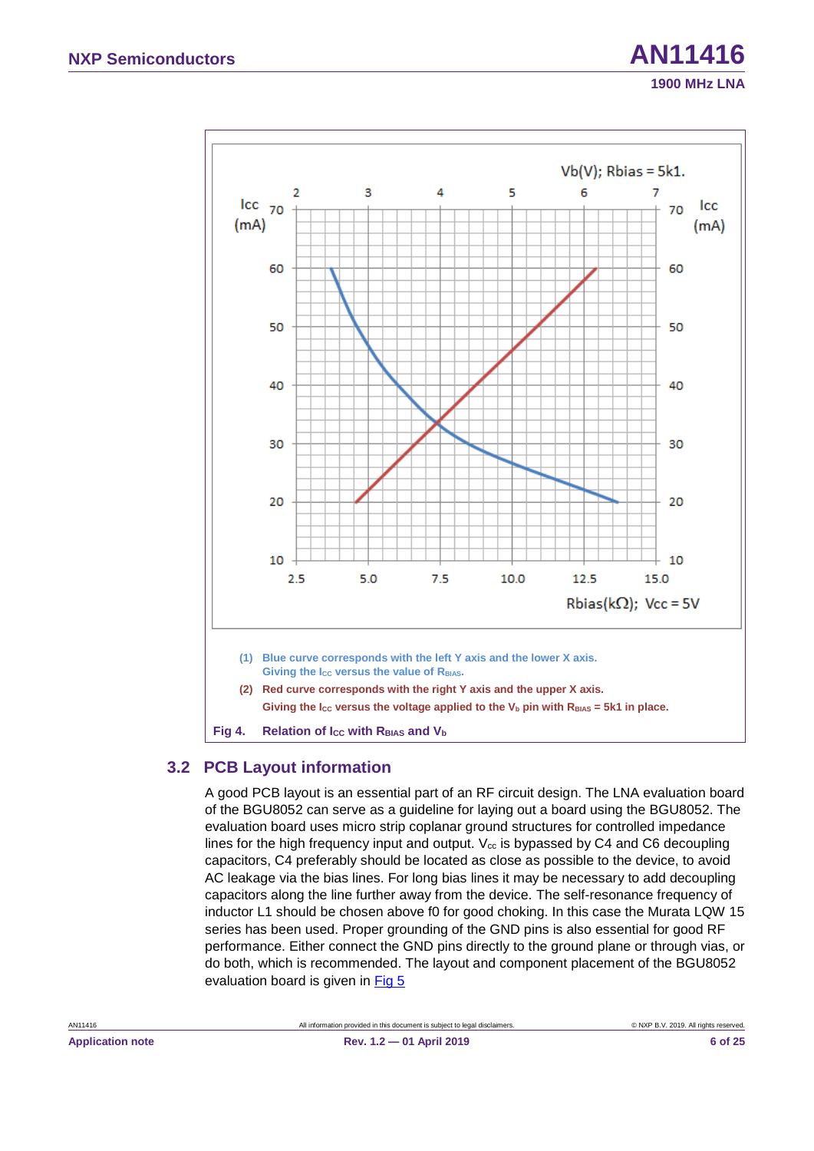

#### <span id="page-5-2"></span><span id="page-5-1"></span><span id="page-5-0"></span>**3.2 PCB Layout information**

A good PCB layout is an essential part of an RF circuit design. The LNA evaluation board of the BGU8052 can serve as a guideline for laying out a board using the BGU8052. The evaluation board uses micro strip coplanar ground structures for controlled impedance lines for the high frequency input and output.  $V_{cc}$  is bypassed by C4 and C6 decoupling capacitors, C4 preferably should be located as close as possible to the device, to avoid AC leakage via the bias lines. For long bias lines it may be necessary to add decoupling capacitors along the line further away from the device. The self-resonance frequency of inductor L1 should be chosen above f0 for good choking. In this case the Murata LQW 15 series has been used. Proper grounding of the GND pins is also essential for good RF performance. Either connect the GND pins directly to the ground plane or through vias, or do both, which is recommended. The layout and component placement of the BGU8052 evaluation board is given in [Fig 5](#page-6-0)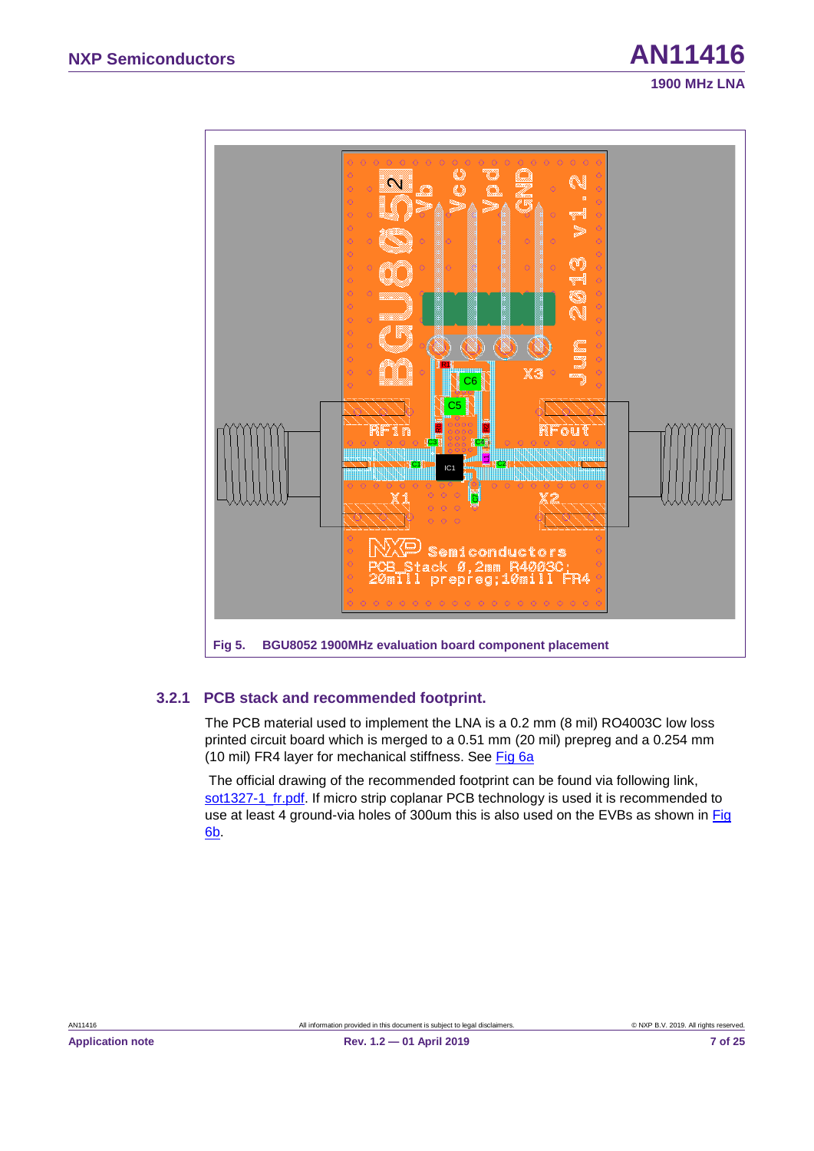

#### <span id="page-6-2"></span><span id="page-6-1"></span><span id="page-6-0"></span>**3.2.1 PCB stack and recommended footprint.**

The PCB material used to implement the LNA is a 0.2 mm (8 mil) RO4003C low loss printed circuit board which is merged to a 0.51 mm (20 mil) prepreg and a 0.254 mm (10 mil) FR4 layer for mechanical stiffness. See [Fig 6a](#page-7-0)

The official drawing of the recommended footprint can be found via following link, [sot1327-1\\_fr.pdf.](http://www.nxp.com/documents/reflow_soldering/sot1327-1_fr.pdf) If micro strip coplanar PCB technology is used it is recommended to use at least 4 ground-via holes of 300um this is also used on the EVBs as shown in [Fig](#page-7-0)  [6b](#page-7-0).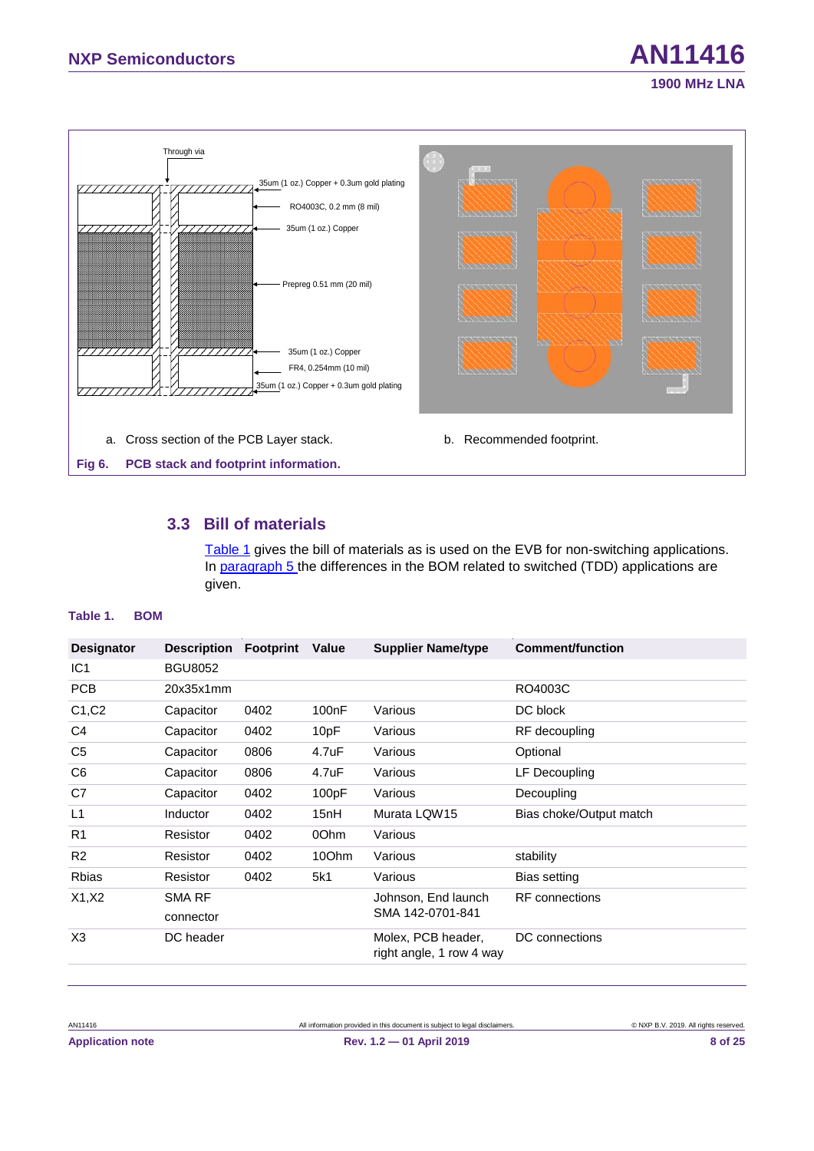

#### <span id="page-7-4"></span><span id="page-7-3"></span><span id="page-7-2"></span><span id="page-7-0"></span>**3.3 Bill of materials**

[Table 1](#page-7-1) gives the bill of materials as is used on the EVB for non-switching applications. In paragraph [5](#page-16-0) the differences in the BOM related to switched (TDD) applications are given.

#### <span id="page-7-1"></span>**Table 1. BOM**

| <b>Designator</b> | <b>Description Footprint</b> |      | Value | <b>Supplier Name/type</b>                      | <b>Comment/function</b> |
|-------------------|------------------------------|------|-------|------------------------------------------------|-------------------------|
| IC <sub>1</sub>   | <b>BGU8052</b>               |      |       |                                                |                         |
| <b>PCB</b>        | 20x35x1mm                    |      |       |                                                | RO4003C                 |
| C1, C2            | Capacitor                    | 0402 | 100nF | Various                                        | DC block                |
| C4                | Capacitor                    | 0402 | 10pF  | Various                                        | RF decoupling           |
| C <sub>5</sub>    | Capacitor                    | 0806 | 4.7uF | Various                                        | Optional                |
| C <sub>6</sub>    | Capacitor                    | 0806 | 4.7uF | Various                                        | LF Decoupling           |
| C7                | Capacitor                    | 0402 | 100pF | Various                                        | Decoupling              |
| L1                | Inductor                     | 0402 | 15nH  | Murata LQW15                                   | Bias choke/Output match |
| R <sub>1</sub>    | Resistor                     | 0402 | 00hm  | Various                                        |                         |
| R <sub>2</sub>    | Resistor                     | 0402 | 10Ohm | Various                                        | stability               |
| <b>Rbias</b>      | Resistor                     | 0402 | 5k1   | Various                                        | Bias setting            |
| X1, X2            | <b>SMA RF</b>                |      |       | Johnson, End launch                            | <b>RF</b> connections   |
|                   | connector                    |      |       | SMA 142-0701-841                               |                         |
| X3                | DC header                    |      |       | Molex, PCB header,<br>right angle, 1 row 4 way | DC connections          |
|                   |                              |      |       |                                                |                         |

**1900 MHz LNA**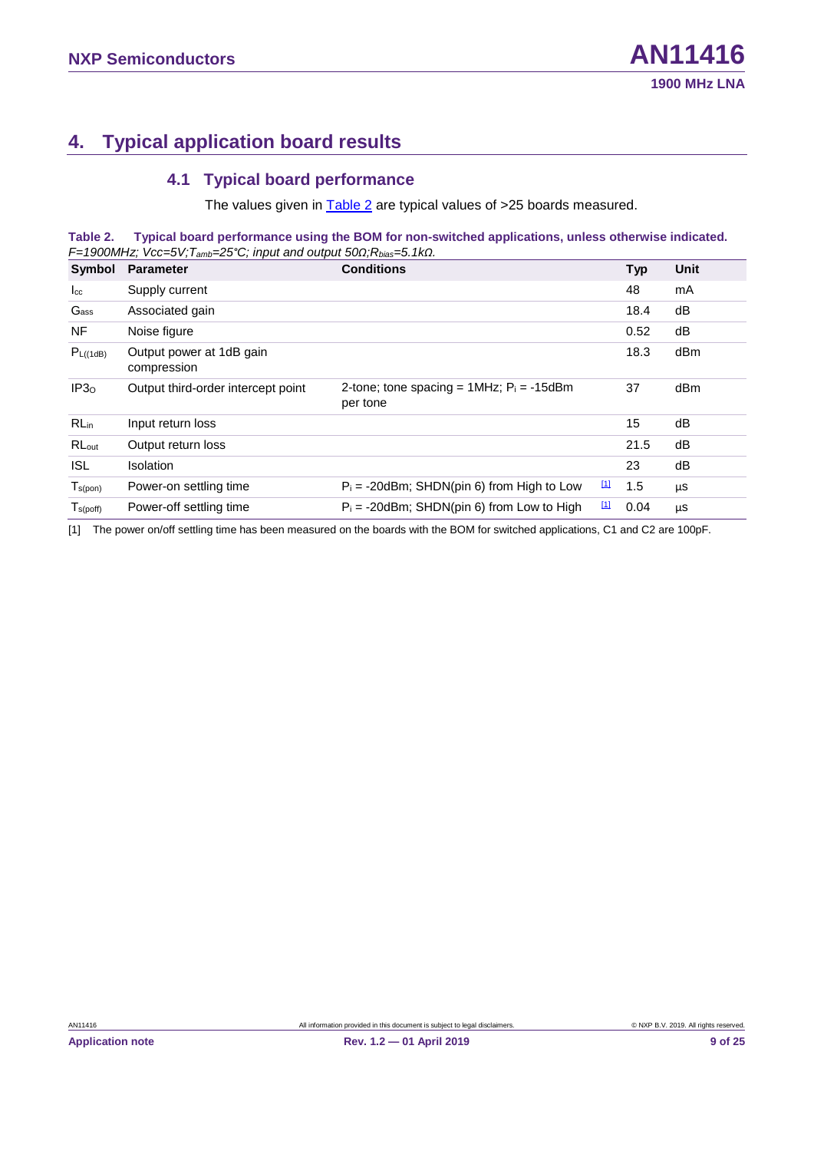### <span id="page-8-3"></span>**4. Typical application board results**

#### <span id="page-8-4"></span><span id="page-8-2"></span><span id="page-8-0"></span>**4.1 Typical board performance**

The values given in [Table](#page-8-0) 2 are typical values of >25 boards measured.

**Table 2. Typical board performance using the BOM for non-switched applications, unless otherwise indicated.** *F=1900MHz; Vcc=5V;Tamb=25°C; input and output 50Ω;Rbias=5.1kΩ.*

| Symbol           | <b>Parameter</b>                        | <b>Conditions</b>                                            | <b>Typ</b> | Unit |
|------------------|-----------------------------------------|--------------------------------------------------------------|------------|------|
| $I_{\rm cc}$     | Supply current                          |                                                              | 48         | mA   |
| Gass             | Associated gain                         |                                                              | 18.4       | dB   |
| NF.              | Noise figure                            |                                                              | 0.52       | dB   |
| $P_{L((1dB)}$    | Output power at 1dB gain<br>compression |                                                              | 18.3       | dBm  |
| IP3 <sub>o</sub> | Output third-order intercept point      | 2-tone; tone spacing = $1MHz$ ; $Pi = -15dBm$<br>per tone    | 37         | dBm  |
| RL <sub>in</sub> | Input return loss                       |                                                              | 15         | dB   |
| RLout            | Output return loss                      |                                                              | 21.5       | dB   |
| <b>ISL</b>       | <b>Isolation</b>                        |                                                              | 23         | dB   |
| $T_{s(pon)}$     | Power-on settling time                  | $\boxed{1}$<br>$P_i = -20$ dBm; SHDN(pin 6) from High to Low | 1.5        | μS   |
| $T_{s(poff)}$    | Power-off settling time                 | <u>[1]</u><br>$P_i = -20$ dBm; SHDN(pin 6) from Low to High  | 0.04       | μS   |

<span id="page-8-1"></span>[1] The power on/off settling time has been measured on the boards with the BOM for switched applications, C1 and C2 are 100pF.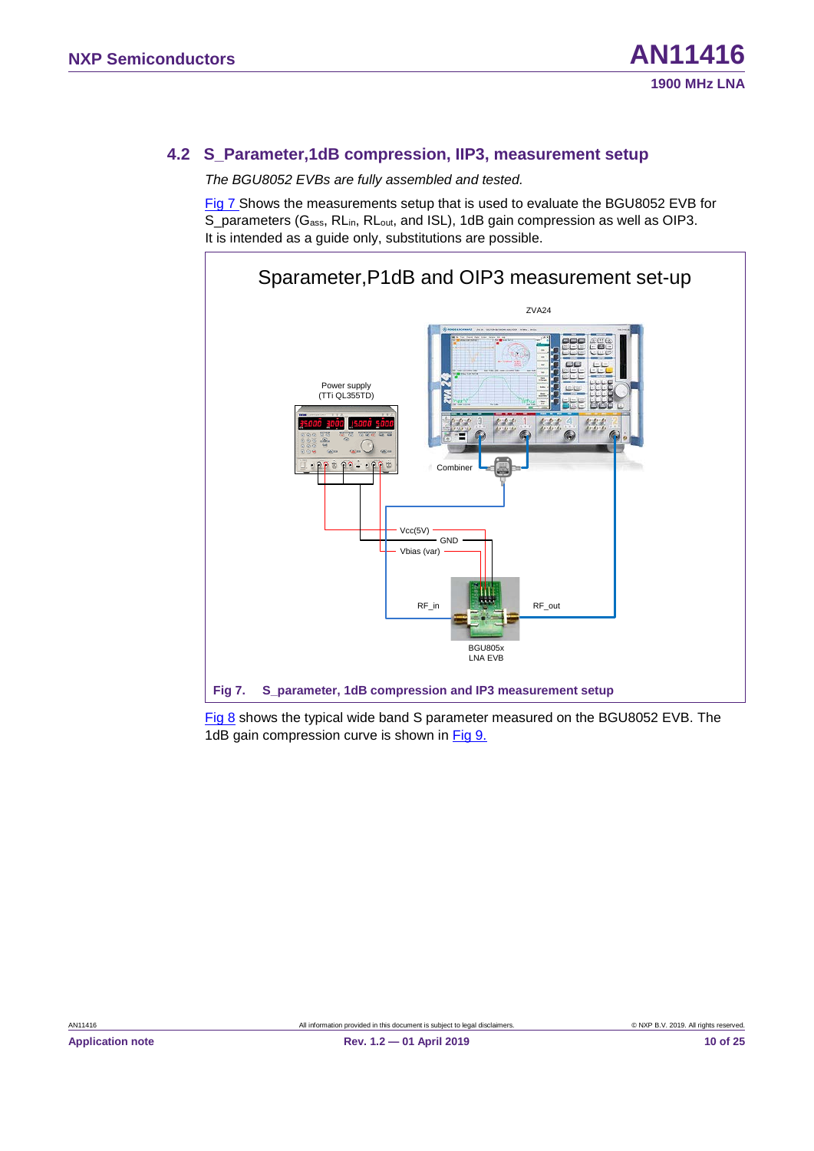#### <span id="page-9-2"></span>**4.2 S\_Parameter,1dB compression, IIP3, measurement setup**

*The BGU8052 EVBs are fully assembled and tested.*

[Fig 7](#page-9-0) Shows the measurements setup that is used to evaluate the BGU8052 EVB for S\_parameters (G<sub>ass</sub>, RL<sub>in</sub>, RL<sub>out</sub>, and ISL), 1dB gain compression as well as OIP3. It is intended as a guide only, substitutions are possible.



<span id="page-9-1"></span><span id="page-9-0"></span>[Fig 8](#page-10-0) shows the typical wide band S parameter measured on the BGU8052 EVB. The 1dB gain compression curve is shown in [Fig 9.](#page-10-1)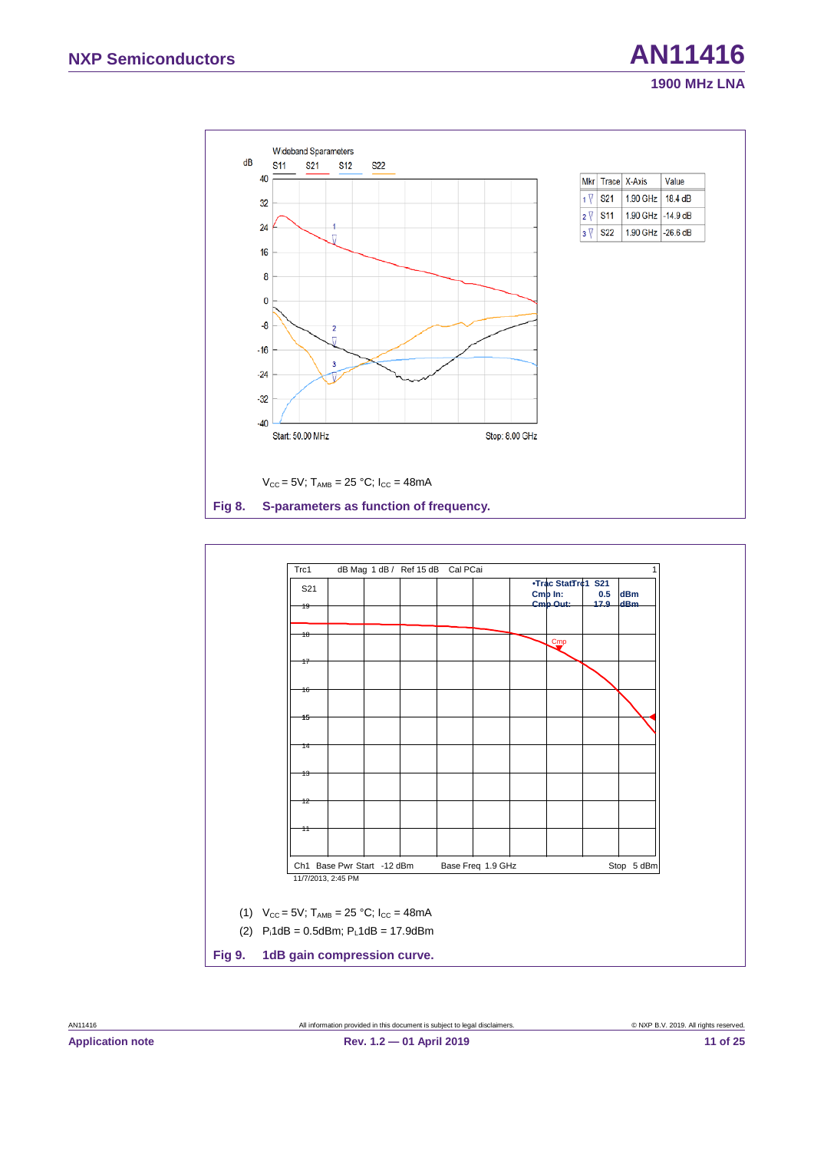

<span id="page-10-3"></span><span id="page-10-2"></span><span id="page-10-1"></span><span id="page-10-0"></span>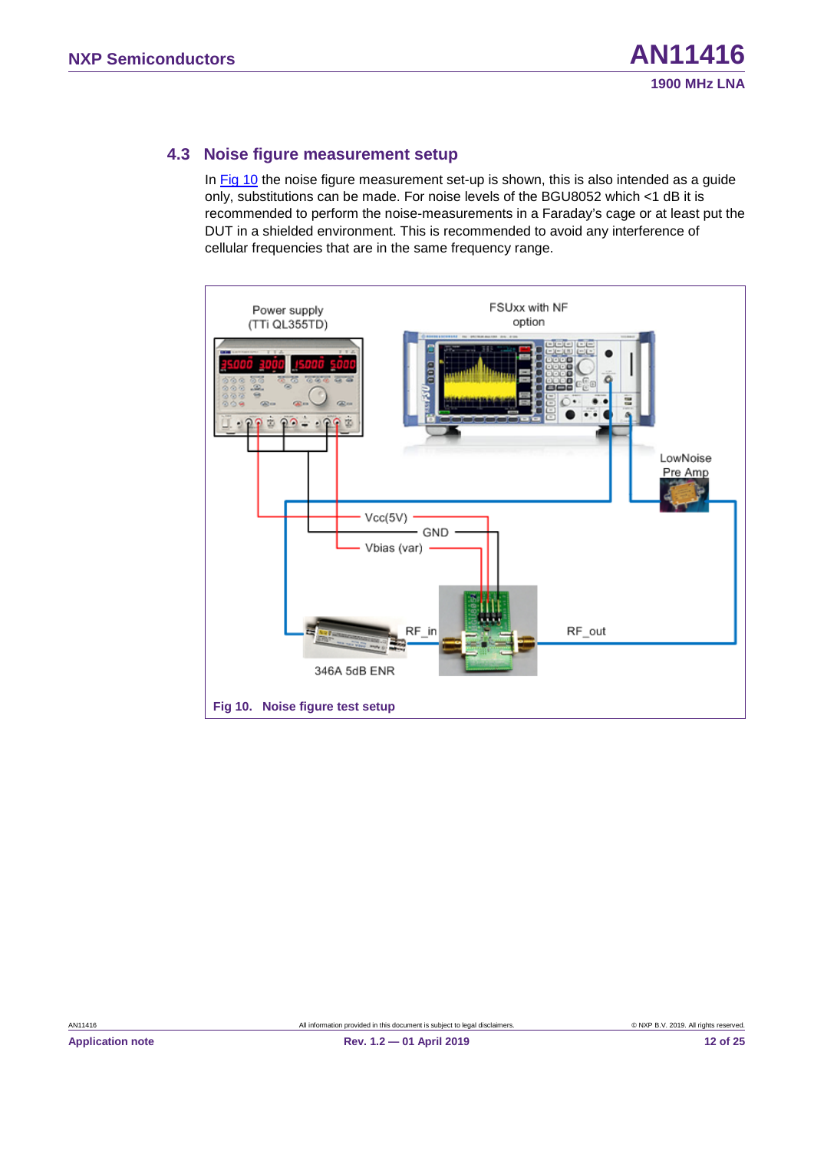#### <span id="page-11-2"></span>**4.3 Noise figure measurement setup**

In [Fig 10](#page-11-0) the noise figure measurement set-up is shown, this is also intended as a guide only, substitutions can be made. For noise levels of the BGU8052 which <1 dB it is recommended to perform the noise-measurements in a Faraday's cage or at least put the DUT in a shielded environment. This is recommended to avoid any interference of cellular frequencies that are in the same frequency range.

<span id="page-11-1"></span><span id="page-11-0"></span>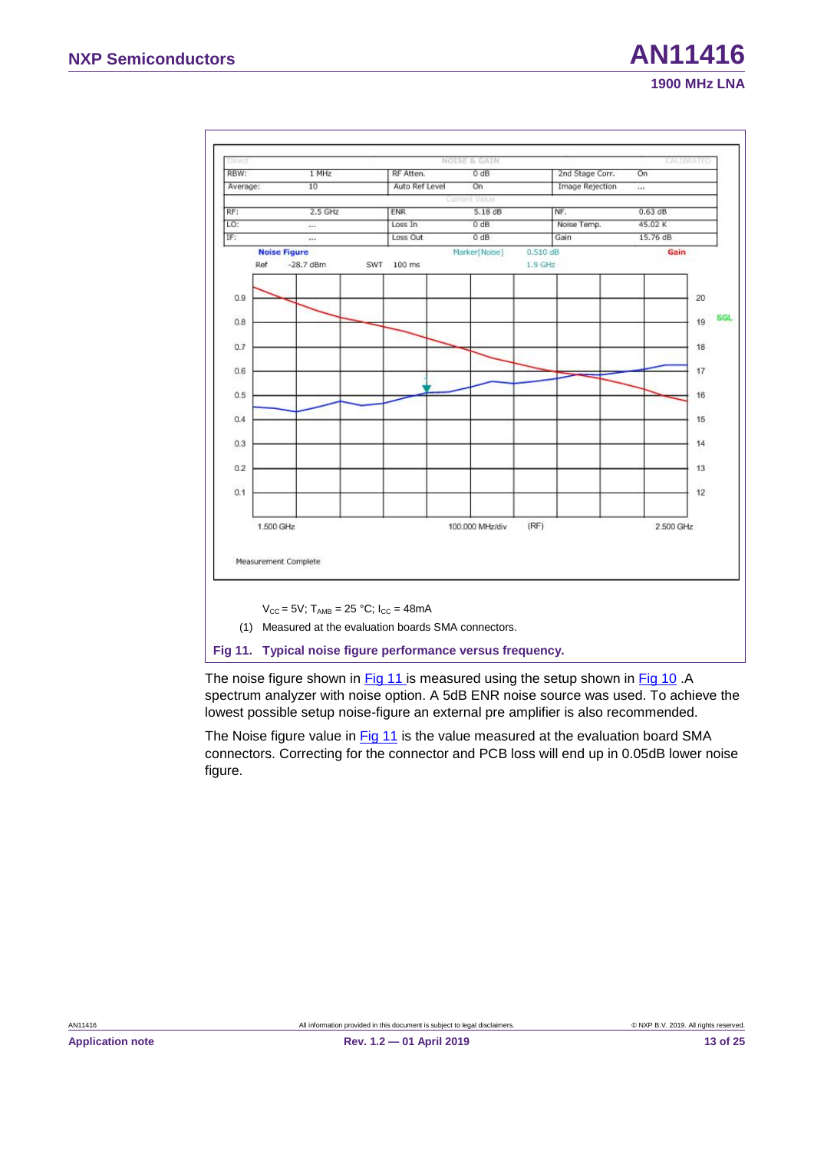

<span id="page-12-1"></span><span id="page-12-0"></span>The noise figure shown in [Fig 11](#page-12-0) is measured using the setup shown in [Fig 10](#page-11-0).A spectrum analyzer with noise option. A 5dB ENR noise source was used. To achieve the lowest possible setup noise-figure an external pre amplifier is also recommended.

The Noise figure value in [Fig 11](#page-12-0) is the value measured at the evaluation board SMA connectors. Correcting for the connector and PCB loss will end up in 0.05dB lower noise figure.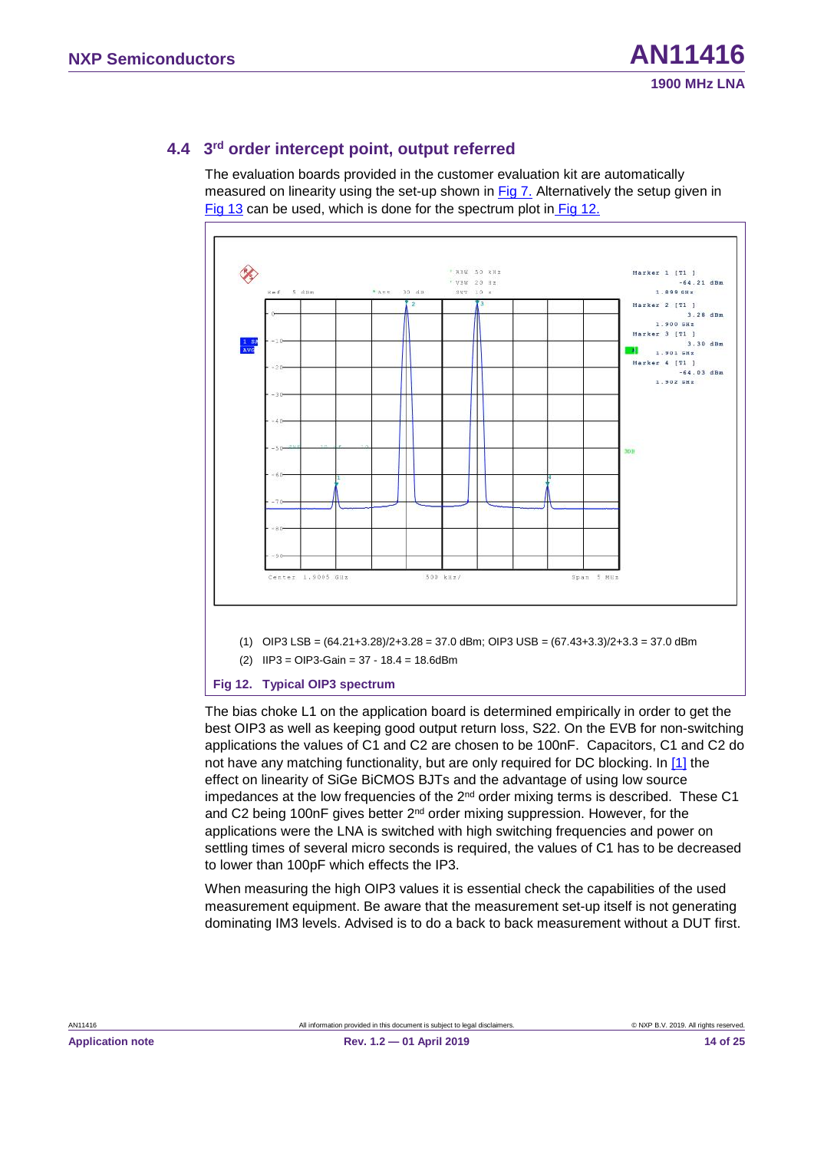#### <span id="page-13-2"></span>**4.4 3rd order intercept point, output referred**

The evaluation boards provided in the customer evaluation kit are automatically measured on linearity using the set-up shown in [Fig 7.](#page-9-0) Alternatively the setup given in [Fig 13](#page-14-0) can be used, which is done for the spectrum plot in [Fig 12.](#page-13-0)



<span id="page-13-1"></span>(2) IIP3 = OIP3-Gain = 37 - 18.4 = 18.6dBm

#### <span id="page-13-0"></span>**Fig 12. Typical OIP3 spectrum**

The bias choke L1 on the application board is determined empirically in order to get the best OIP3 as well as keeping good output return loss, S22. On the EVB for non-switching applications the values of C1 and C2 are chosen to be 100nF. Capacitors, C1 and C2 do not have any matching functionality, but are only required for DC blocking. In [\[1\]](#page-19-0) the effect on linearity of SiGe BiCMOS BJTs and the advantage of using low source impedances at the low frequencies of the 2<sup>nd</sup> order mixing terms is described. These C1 and C2 being 100nF gives better 2<sup>nd</sup> order mixing suppression. However, for the applications were the LNA is switched with high switching frequencies and power on settling times of several micro seconds is required, the values of C1 has to be decreased to lower than 100pF which effects the IP3.

When measuring the high OIP3 values it is essential check the capabilities of the used measurement equipment. Be aware that the measurement set-up itself is not generating dominating IM3 levels. Advised is to do a back to back measurement without a DUT first.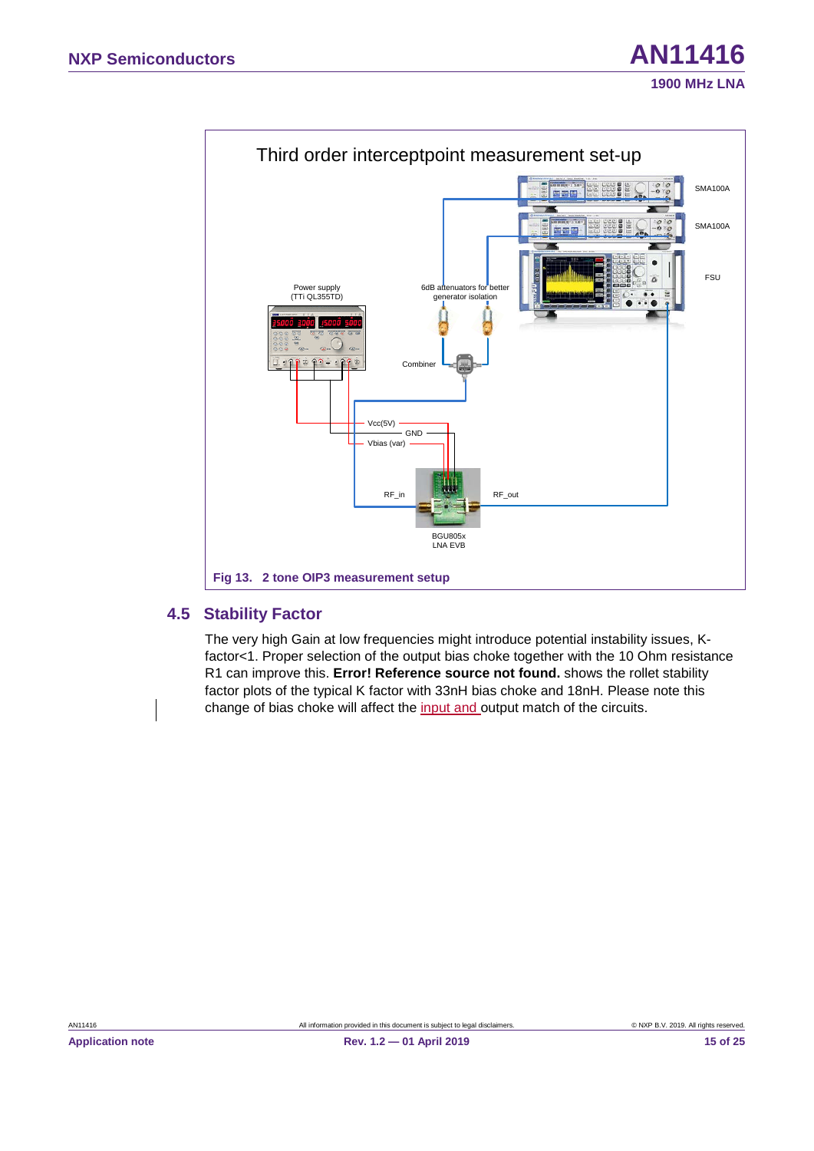

#### <span id="page-14-1"></span><span id="page-14-0"></span>**4.5 Stability Factor**

The very high Gain at low frequencies might introduce potential instability issues, Kfactor<1. Proper selection of the output bias choke together with the 10 Ohm resistance R1 can improve this. **Error! Reference source not found.** shows the rollet stability factor plots of the typical K factor with 33nH bias choke and 18nH. Please note this change of bias choke will affect the input and output match of the circuits.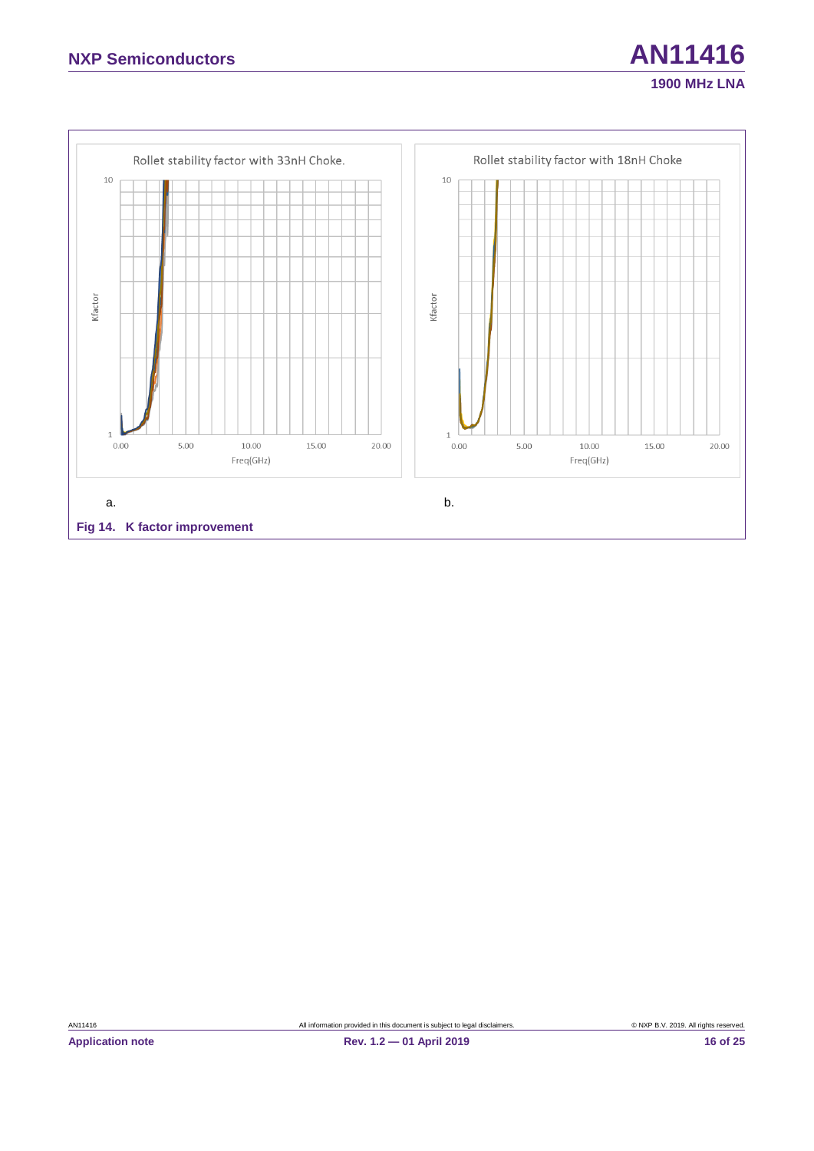

**1900 MHz LNA**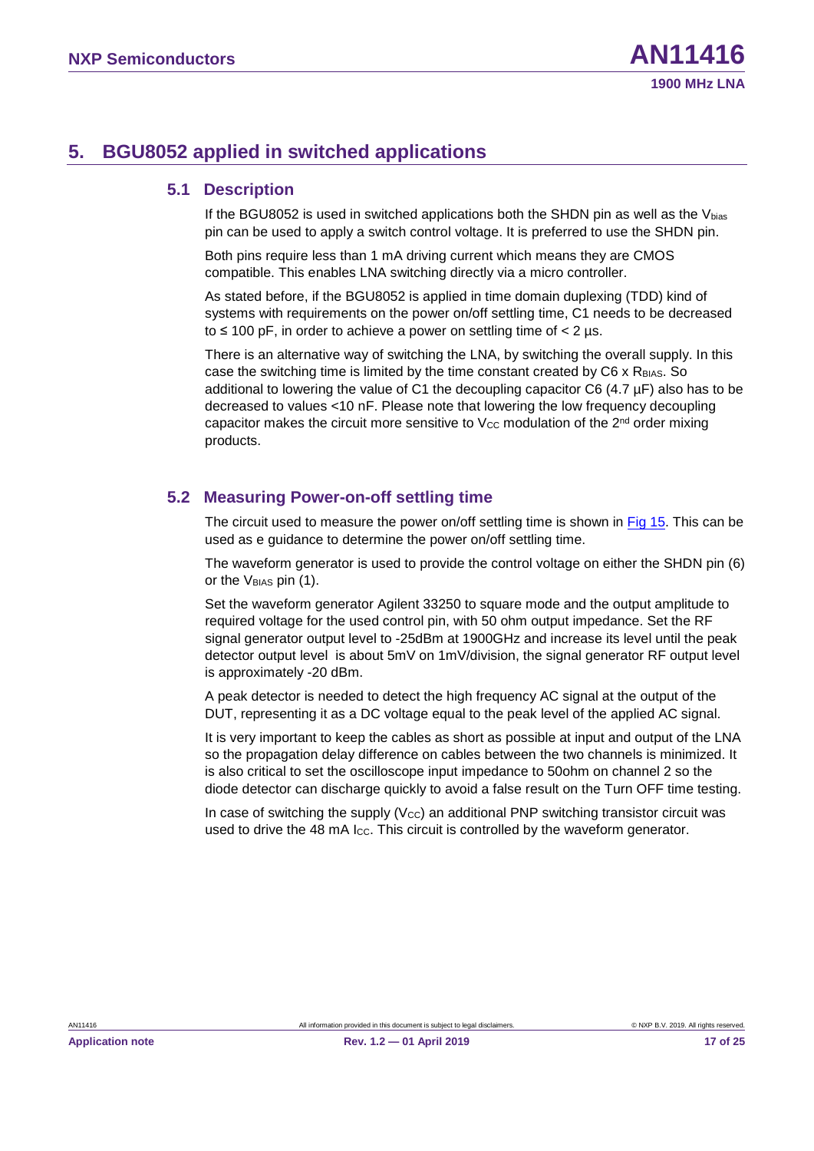### <span id="page-16-1"></span><span id="page-16-0"></span>**5. BGU8052 applied in switched applications**

#### <span id="page-16-2"></span>**5.1 Description**

If the BGU8052 is used in switched applications both the SHDN pin as well as the  $V_{bias}$ pin can be used to apply a switch control voltage. It is preferred to use the SHDN pin.

Both pins require less than 1 mA driving current which means they are CMOS compatible. This enables LNA switching directly via a micro controller.

As stated before, if the BGU8052 is applied in time domain duplexing (TDD) kind of systems with requirements on the power on/off settling time, C1 needs to be decreased to  $\leq$  100 pF, in order to achieve a power on settling time of  $<$  2 µs.

<span id="page-16-3"></span>There is an alternative way of switching the LNA, by switching the overall supply. In this case the switching time is limited by the time constant created by C6 x RBIAS. So additional to lowering the value of C1 the decoupling capacitor C6 (4.7 µF) also has to be decreased to values <10 nF. Please note that lowering the low frequency decoupling capacitor makes the circuit more sensitive to  $V_{CC}$  modulation of the  $2<sup>nd</sup>$  order mixing products.

#### **5.2 Measuring Power-on-off settling time**

The circuit used to measure the power on/off settling time is shown in [Fig 15.](#page-17-0) This can be used as e guidance to determine the power on/off settling time.

The waveform generator is used to provide the control voltage on either the SHDN pin (6) or the V<sub>BIAS</sub> pin (1).

Set the waveform generator Agilent 33250 to square mode and the output amplitude to required voltage for the used control pin, with 50 ohm output impedance. Set the RF signal generator output level to -25dBm at 1900GHz and increase its level until the peak detector output level is about 5mV on 1mV/division, the signal generator RF output level is approximately -20 dBm.

A peak detector is needed to detect the high frequency AC signal at the output of the DUT, representing it as a DC voltage equal to the peak level of the applied AC signal.

It is very important to keep the cables as short as possible at input and output of the LNA so the propagation delay difference on cables between the two channels is minimized. It is also critical to set the oscilloscope input impedance to 50ohm on channel 2 so the diode detector can discharge quickly to avoid a false result on the Turn OFF time testing.

In case of switching the supply  $(V_{\text{CC}})$  an additional PNP switching transistor circuit was used to drive the 48 mA Icc. This circuit is controlled by the waveform generator.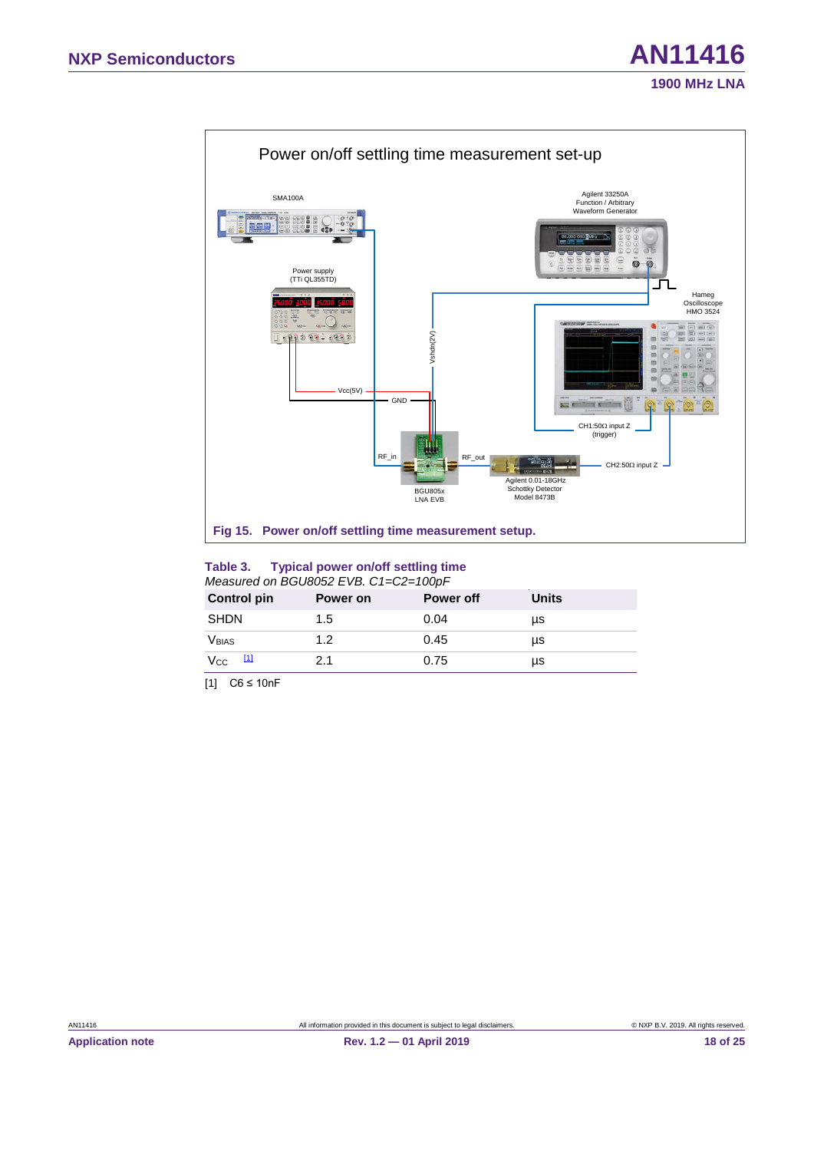

#### <span id="page-17-3"></span><span id="page-17-2"></span><span id="page-17-0"></span>**Table 3. Typical power on/off settling time**  *Measured on BGU8052 EVB. C1=C2=100pF*

| <b>Control pin</b> | Power on | <b>Power off</b> | Units |  |
|--------------------|----------|------------------|-------|--|
| <b>SHDN</b>        | 1.5      | 0.04             | μs    |  |
| <b>V</b> BIAS      | 1.2      | 0.45             | μs    |  |
| ш<br>Vcc           | 2.1      | 0.75             | μs    |  |
|                    |          |                  |       |  |

<span id="page-17-1"></span>[1] C6 ≤ 10nF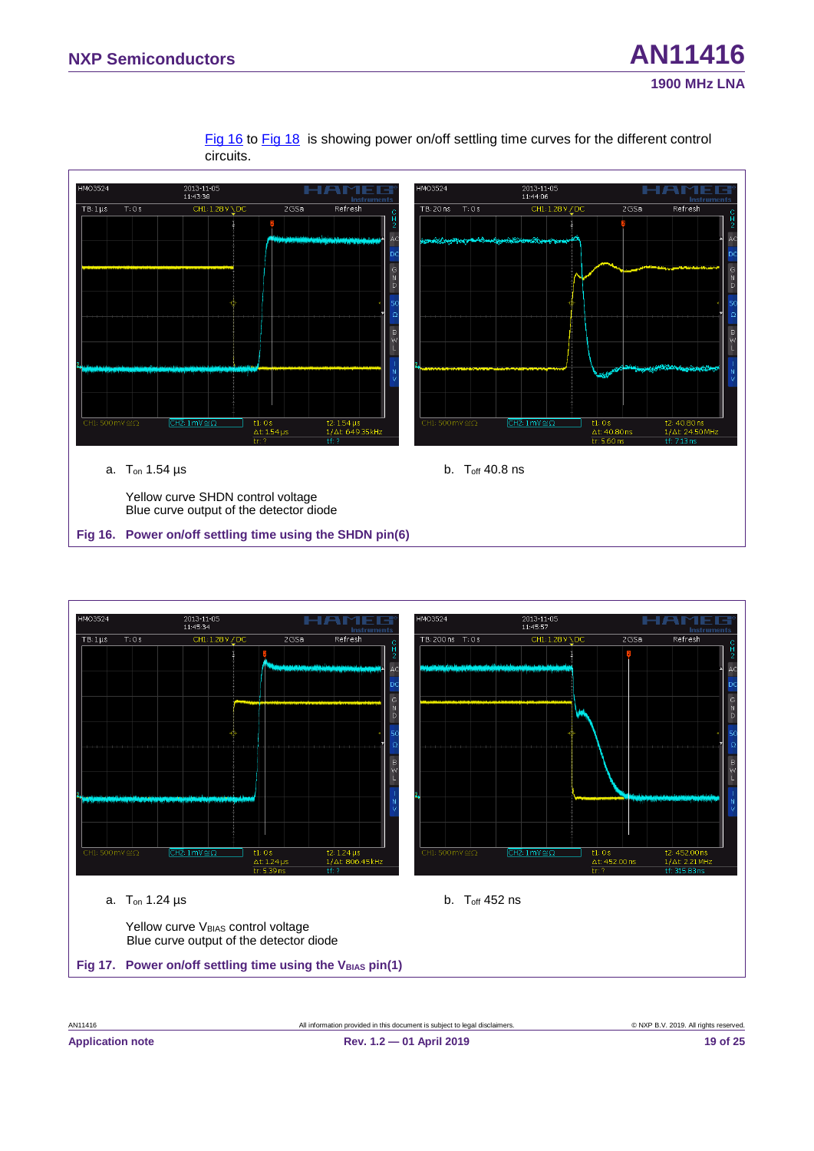[Fig 16](#page-18-0) to [Fig 18](#page-19-1) is showing power on/off settling time curves for the different control circuits.



<span id="page-18-2"></span><span id="page-18-1"></span><span id="page-18-0"></span>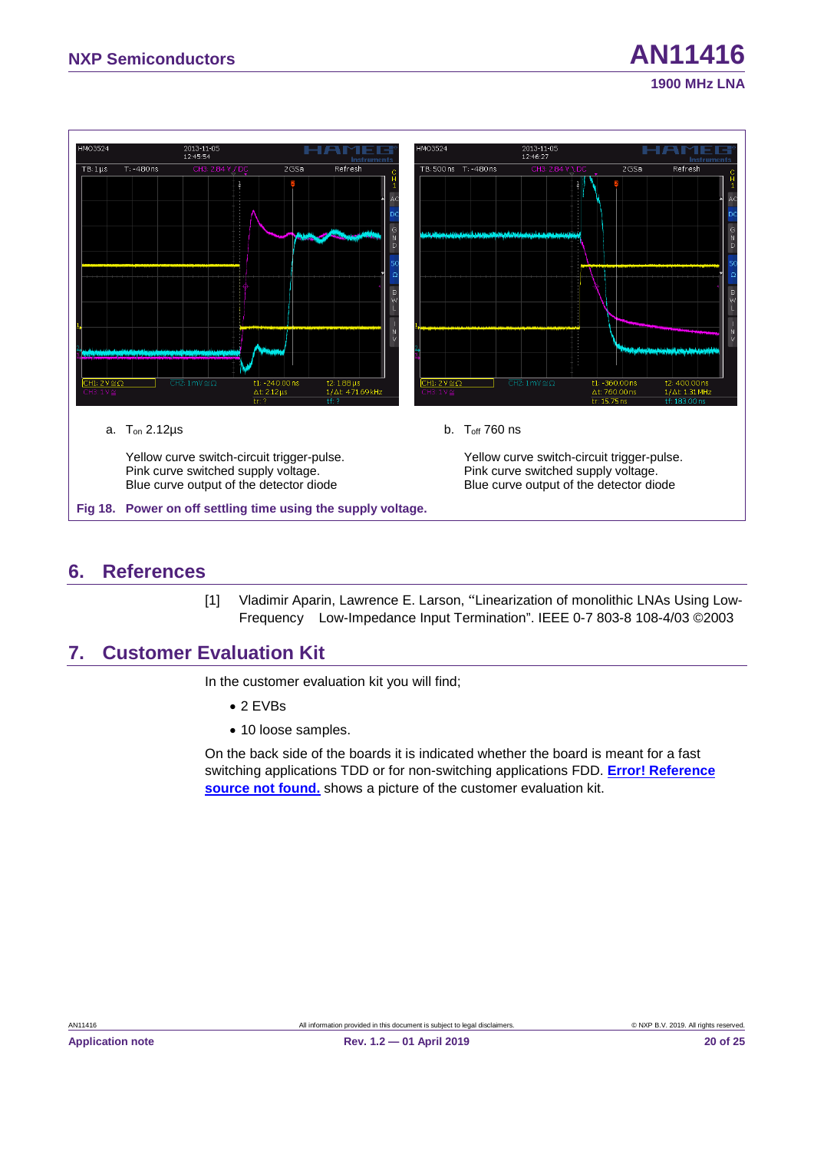

### <span id="page-19-4"></span><span id="page-19-3"></span><span id="page-19-2"></span><span id="page-19-1"></span>**6. References**

<span id="page-19-0"></span>[1] Vladimir Aparin, Lawrence E. Larson, "Linearization of monolithic LNAs Using Low-Frequency Low-Impedance Input Termination". IEEE 0-7 803-8 108-4/03 ©2003

### **7. Customer Evaluation Kit**

In the customer evaluation kit you will find;

- 2 EVBs
- 10 loose samples.

On the back side of the boards it is indicated whether the board is meant for a fast switching applications TDD or for non-switching applications FDD. **Error! Reference source not found.** shows a picture of the customer evaluation kit.

**1900 MHz LNA**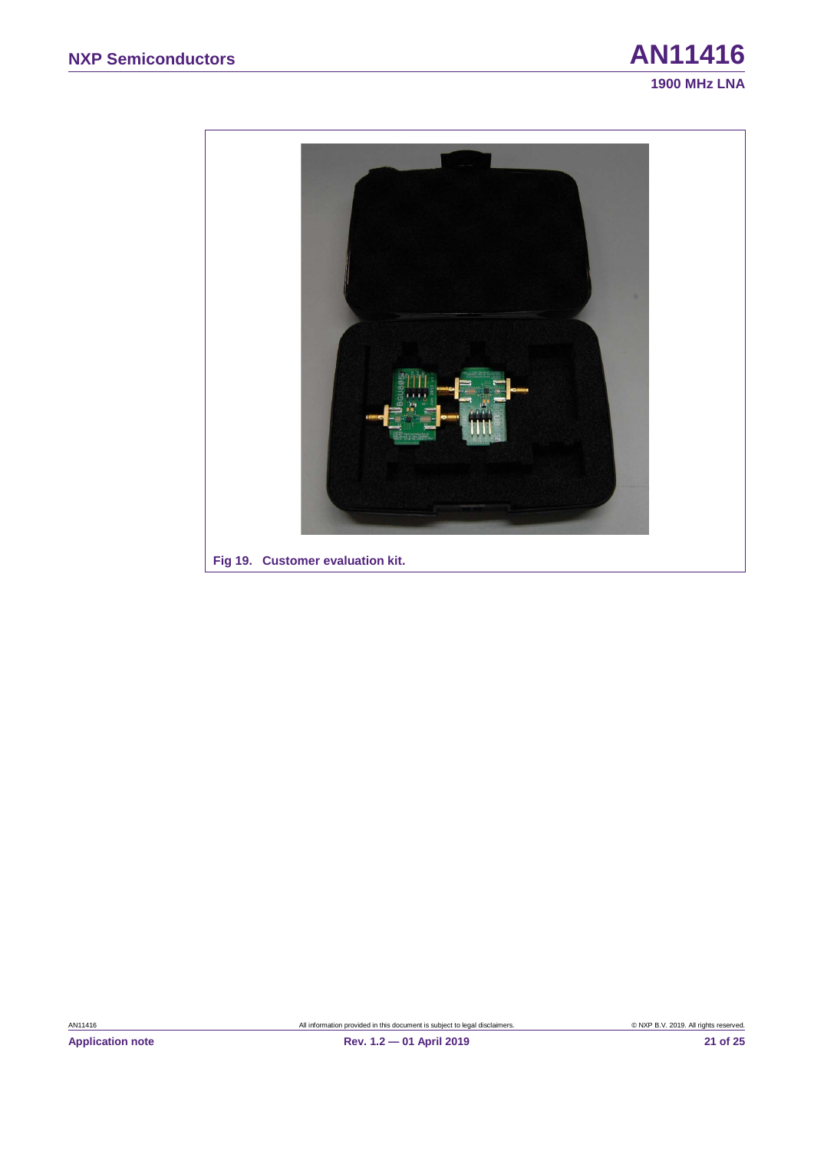

<span id="page-20-0"></span>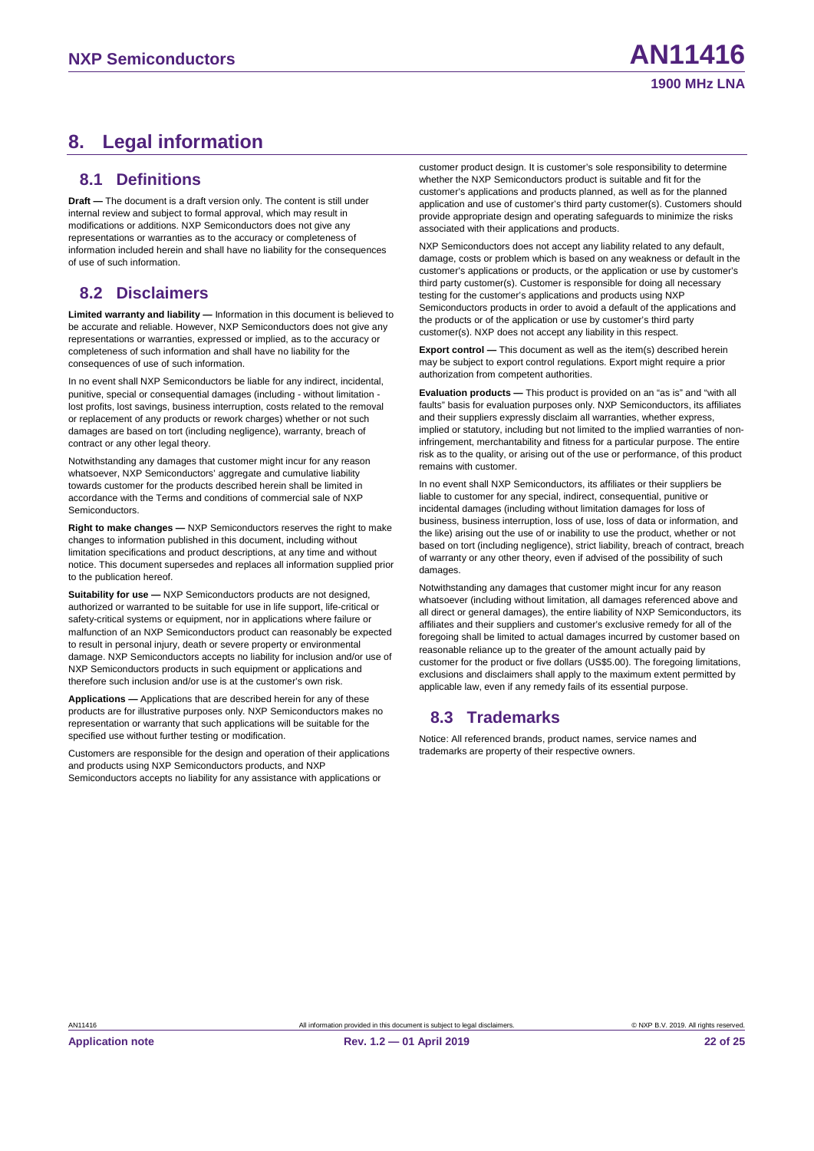### <span id="page-21-1"></span><span id="page-21-0"></span>**8. Legal information**

#### **8.1 Definitions**

<span id="page-21-2"></span>**Draft —** The document is a draft version only. The content is still under internal review and subject to formal approval, which may result in modifications or additions. NXP Semiconductors does not give any representations or warranties as to the accuracy or completeness of information included herein and shall have no liability for the consequences of use of such information.

#### **8.2 Disclaimers**

**Limited warranty and liability —** Information in this document is believed to be accurate and reliable. However, NXP Semiconductors does not give any representations or warranties, expressed or implied, as to the accuracy or completeness of such information and shall have no liability for the consequences of use of such information.

In no event shall NXP Semiconductors be liable for any indirect, incidental, punitive, special or consequential damages (including - without limitation lost profits, lost savings, business interruption, costs related to the removal or replacement of any products or rework charges) whether or not such damages are based on tort (including negligence), warranty, breach of contract or any other legal theory.

Notwithstanding any damages that customer might incur for any reason whatsoever, NXP Semiconductors' aggregate and cumulative liability towards customer for the products described herein shall be limited in accordance with the Terms and conditions of commercial sale of NXP **Semiconductors** 

**Right to make changes —** NXP Semiconductors reserves the right to make changes to information published in this document, including without limitation specifications and product descriptions, at any time and without notice. This document supersedes and replaces all information supplied prior to the publication hereof.

**Suitability for use - NXP Semiconductors products are not designed,** authorized or warranted to be suitable for use in life support, life-critical or safety-critical systems or equipment, nor in applications where failure or malfunction of an NXP Semiconductors product can reasonably be expected to result in personal injury, death or severe property or environmental damage. NXP Semiconductors accepts no liability for inclusion and/or use of NXP Semiconductors products in such equipment or applications and therefore such inclusion and/or use is at the customer's own risk.

**Applications —** Applications that are described herein for any of these products are for illustrative purposes only. NXP Semiconductors makes no representation or warranty that such applications will be suitable for the specified use without further testing or modification.

Customers are responsible for the design and operation of their applications and products using NXP Semiconductors products, and NXP Semiconductors accepts no liability for any assistance with applications or

customer product design. It is customer's sole responsibility to determine whether the NXP Semiconductors product is suitable and fit for the customer's applications and products planned, as well as for the planned application and use of customer's third party customer(s). Customers should provide appropriate design and operating safeguards to minimize the risks associated with their applications and products.

NXP Semiconductors does not accept any liability related to any default, damage, costs or problem which is based on any weakness or default in the customer's applications or products, or the application or use by customer's third party customer(s). Customer is responsible for doing all necessary testing for the customer's applications and products using NXP Semiconductors products in order to avoid a default of the applications and the products or of the application or use by customer's third party customer(s). NXP does not accept any liability in this respect.

**Export control —** This document as well as the item(s) described herein may be subject to export control regulations. Export might require a prior authorization from competent authorities.

**Evaluation products —** This product is provided on an "as is" and "with all faults" basis for evaluation purposes only. NXP Semiconductors, its affiliates and their suppliers expressly disclaim all warranties, whether express, implied or statutory, including but not limited to the implied warranties of noninfringement, merchantability and fitness for a particular purpose. The entire risk as to the quality, or arising out of the use or performance, of this product remains with customer.

In no event shall NXP Semiconductors, its affiliates or their suppliers be liable to customer for any special, indirect, consequential, punitive or incidental damages (including without limitation damages for loss of business, business interruption, loss of use, loss of data or information, and the like) arising out the use of or inability to use the product, whether or not based on tort (including negligence), strict liability, breach of contract, breach of warranty or any other theory, even if advised of the possibility of such damages.

<span id="page-21-3"></span>Notwithstanding any damages that customer might incur for any reason whatsoever (including without limitation, all damages referenced above and all direct or general damages), the entire liability of NXP Semiconductors, its affiliates and their suppliers and customer's exclusive remedy for all of the foregoing shall be limited to actual damages incurred by customer based on reasonable reliance up to the greater of the amount actually paid by customer for the product or five dollars (US\$5.00). The foregoing limitations, exclusions and disclaimers shall apply to the maximum extent permitted by applicable law, even if any remedy fails of its essential purpose.

#### **8.3 Trademarks**

Notice: All referenced brands, product names, service names and trademarks are property of their respective owners.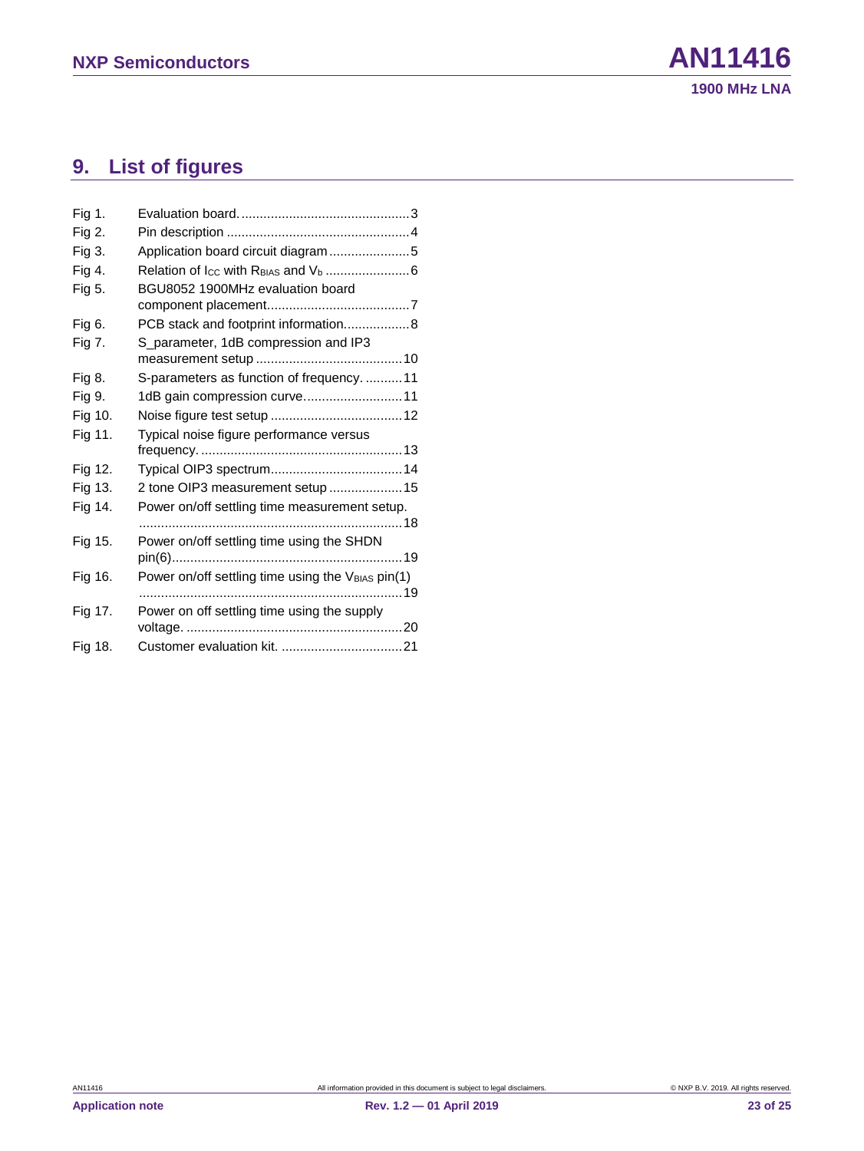## <span id="page-22-0"></span>**9. List of figures**

| Fig 1.  |                                                   |
|---------|---------------------------------------------------|
| Fig 2.  |                                                   |
| Fig 3.  | Application board circuit diagram5                |
| Fig 4.  |                                                   |
| Fig 5.  | BGU8052 1900MHz evaluation board                  |
| Fig 6.  | PCB stack and footprint information8              |
| Fig 7.  | S_parameter, 1dB compression and IP3              |
| Fig 8.  | S-parameters as function of frequency. 11         |
| Fig 9.  | 1dB gain compression curve11                      |
| Fig 10. |                                                   |
| Fig 11. | Typical noise figure performance versus           |
| Fig 12. |                                                   |
| Fig 13. | 2 tone OIP3 measurement setup 15                  |
| Fig 14. | Power on/off settling time measurement setup.     |
| Fig 15. | Power on/off settling time using the SHDN         |
| Fig 16. | Power on/off settling time using the VBIAS pin(1) |
| Fig 17. | Power on off settling time using the supply       |
| Fig 18. |                                                   |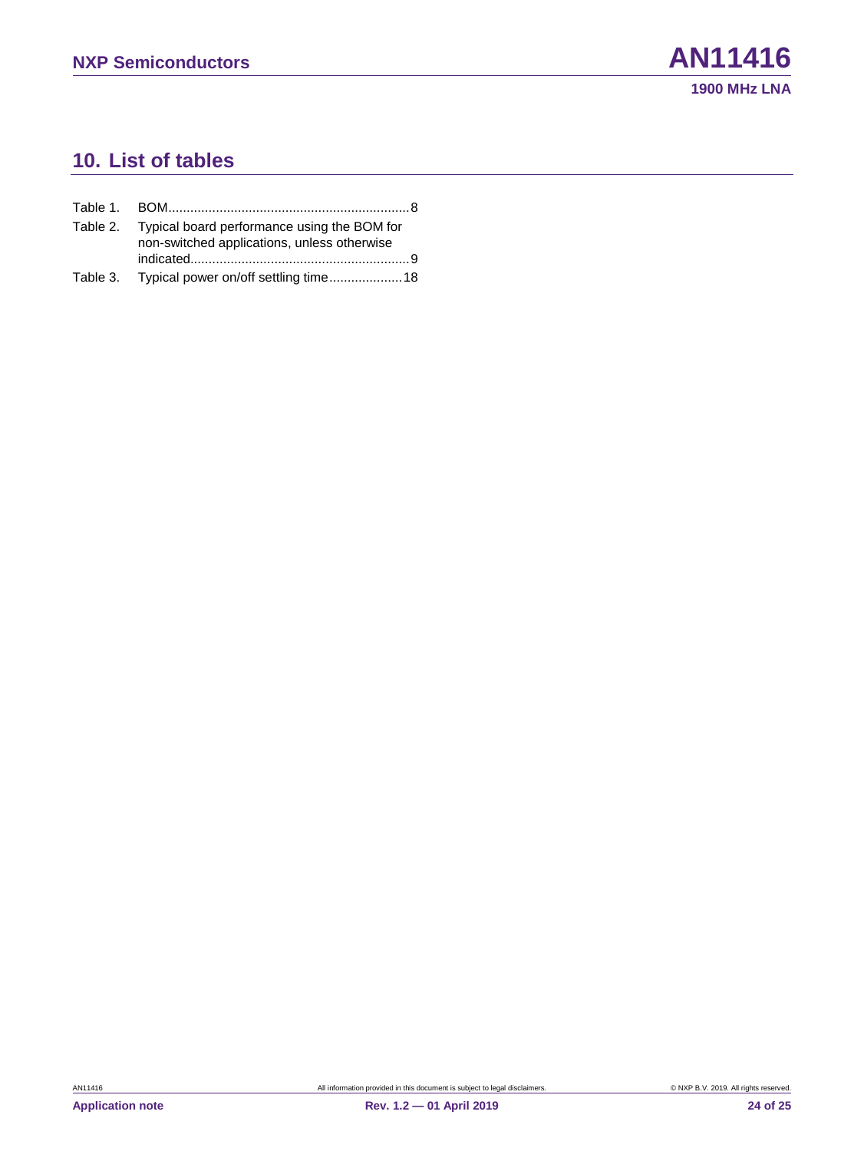### <span id="page-23-0"></span>**10. List of tables**

| Table 2. Typical board performance using the BOM for<br>non-switched applications, unless otherwise |
|-----------------------------------------------------------------------------------------------------|
| Table 3. Typical power on/off settling time 18                                                      |